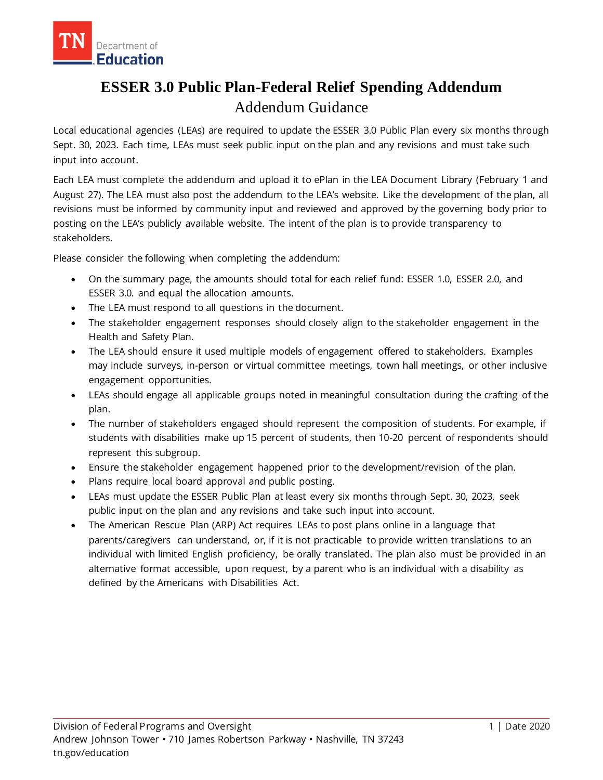

# **ESSER 3.0 Public Plan-Federal Relief Spending Addendum** Addendum Guidance

Local educational agencies (LEAs) are required to update the ESSER 3.0 Public Plan every six months through Sept. 30, 2023. Each time, LEAs must seek public input on the plan and any revisions and must take such input into account.

Each LEA must complete the addendum and upload it to ePlan in the LEA Document Library (February 1 and August 27). The LEA must also post the addendum to the LEA's website. Like the development of the plan, all revisions must be informed by community input and reviewed and approved by the governing body prior to posting on the LEA's publicly available website. The intent of the plan is to provide transparency to stakeholders.

Please consider the following when completing the addendum:

- On the summary page, the amounts should total for each relief fund: ESSER 1.0, ESSER 2.0, and ESSER 3.0. and equal the allocation amounts.
- The LEA must respond to all questions in the document.
- The stakeholder engagement responses should closely align to the stakeholder engagement in the Health and Safety Plan.
- The LEA should ensure it used multiple models of engagement offered to stakeholders. Examples may include surveys, in-person or virtual committee meetings, town hall meetings, or other inclusive engagement opportunities.
- LEAs should engage all applicable groups noted in meaningful consultation during the crafting of the plan.
- The number of stakeholders engaged should represent the composition of students. For example, if students with disabilities make up 15 percent of students, then 10-20 percent of respondents should represent this subgroup.
- Ensure the stakeholder engagement happened prior to the development/revision of the plan.
- Plans require local board approval and public posting.
- LEAs must update the ESSER Public Plan at least every six months through Sept. 30, 2023, seek public input on the plan and any revisions and take such input into account.
- The American Rescue Plan (ARP) Act requires LEAs to post plans online in a language that parents/caregivers can understand, or, if it is not practicable to provide written translations to an individual with limited English proficiency, be orally translated. The plan also must be provided in an alternative format accessible, upon request, by a parent who is an individual with a disability as defined by the Americans with Disabilities Act.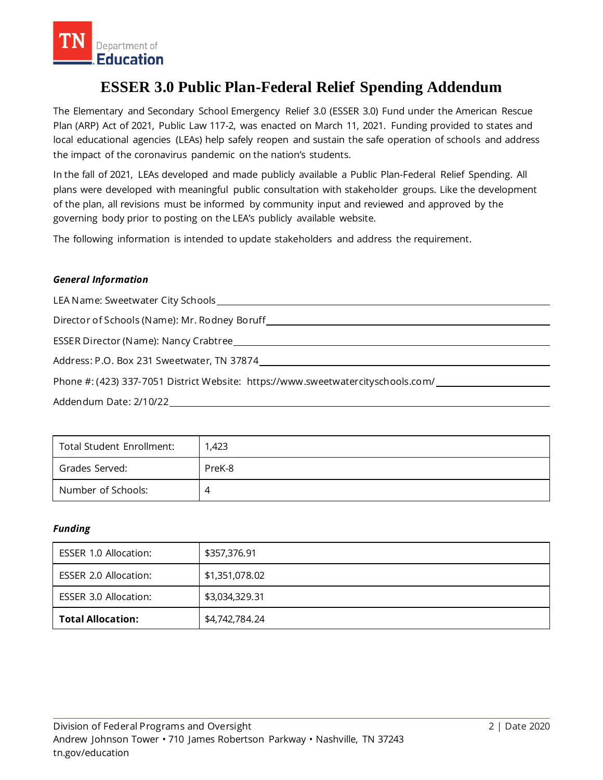

## **ESSER 3.0 Public Plan-Federal Relief Spending Addendum**

The Elementary and Secondary School Emergency Relief 3.0 (ESSER 3.0) Fund under the American Rescue Plan (ARP) Act of 2021, Public Law 117-2, was enacted on March 11, 2021. Funding provided to states and local educational agencies (LEAs) help safely reopen and sustain the safe operation of schools and address the impact of the coronavirus pandemic on the nation's students.

In the fall of 2021, LEAs developed and made publicly available a Public Plan-Federal Relief Spending. All plans were developed with meaningful public consultation with stakeholder groups. Like the development of the plan, all revisions must be informed by community input and reviewed and approved by the governing body prior to posting on the LEA's publicly available website.

The following information is intended to update stakeholders and address the requirement.

### *General Information*

LEA Name: Sweetwater City Schools

Director of Schools (Name): Mr. Rodney Boruff

ESSER Director (Name): Nancy Crabtree

Address: P.O. Box 231 Sweetwater, TN 37874

Phone #: (423) 337-7051 District Website: https://www.sweetwatercityschools.com/

Addendum Date: 2/10/22

| Total Student Enrollment: | 1,423  |
|---------------------------|--------|
| Grades Served:            | PreK-8 |
| Number of Schools:        |        |

### *Funding*

| <b>ESSER 1.0 Allocation:</b> | \$357,376.91   |
|------------------------------|----------------|
| <b>ESSER 2.0 Allocation:</b> | \$1,351,078.02 |
| <b>ESSER 3.0 Allocation:</b> | \$3,034,329.31 |
| <b>Total Allocation:</b>     | \$4,742,784.24 |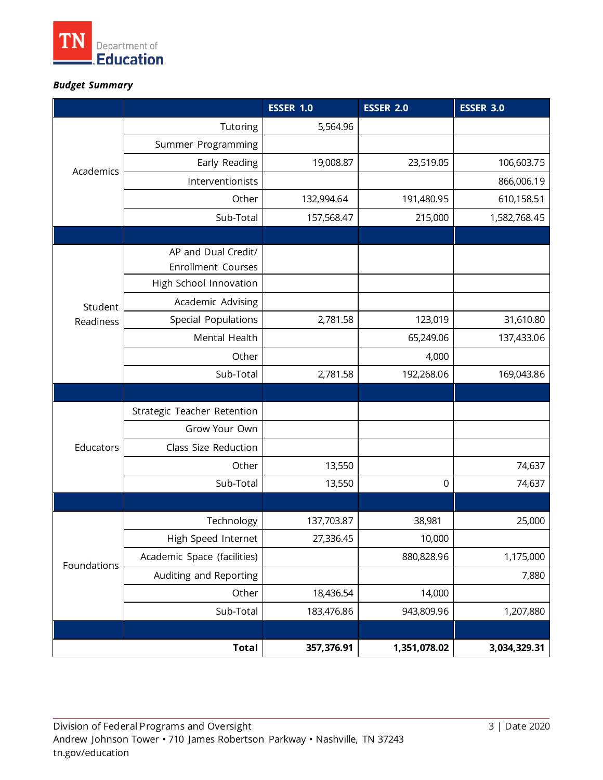

## *Budget Summary*

|                      |                             | <b>ESSER 1.0</b> | <b>ESSER 2.0</b> | <b>ESSER 3.0</b> |
|----------------------|-----------------------------|------------------|------------------|------------------|
| Academics            | Tutoring                    | 5,564.96         |                  |                  |
|                      | Summer Programming          |                  |                  |                  |
|                      | Early Reading               | 19,008.87        | 23,519.05        | 106,603.75       |
|                      | Interventionists            |                  |                  | 866,006.19       |
|                      | Other                       | 132,994.64       | 191,480.95       | 610,158.51       |
|                      | Sub-Total                   | 157,568.47       | 215,000          | 1,582,768.45     |
|                      |                             |                  |                  |                  |
| Student<br>Readiness | AP and Dual Credit/         |                  |                  |                  |
|                      | Enrollment Courses          |                  |                  |                  |
|                      | High School Innovation      |                  |                  |                  |
|                      | Academic Advising           |                  |                  |                  |
|                      | Special Populations         | 2,781.58         | 123,019          | 31,610.80        |
|                      | Mental Health               |                  | 65,249.06        | 137,433.06       |
|                      | Other                       |                  | 4,000            |                  |
|                      | Sub-Total                   | 2,781.58         | 192,268.06       | 169,043.86       |
|                      |                             |                  |                  |                  |
| Educators            | Strategic Teacher Retention |                  |                  |                  |
|                      | Grow Your Own               |                  |                  |                  |
|                      | Class Size Reduction        |                  |                  |                  |
|                      | Other                       | 13,550           |                  | 74,637           |
|                      | Sub-Total                   | 13,550           | $\mathbf 0$      | 74,637           |
|                      |                             |                  |                  |                  |
| Foundations          | Technology                  | 137,703.87       | 38,981           | 25,000           |
|                      | High Speed Internet         | 27,336.45        | 10,000           |                  |
|                      | Academic Space (facilities) |                  | 880,828.96       | 1,175,000        |
|                      | Auditing and Reporting      |                  |                  | 7,880            |
|                      | Other                       | 18,436.54        | 14,000           |                  |
|                      | Sub-Total                   | 183,476.86       | 943,809.96       | 1,207,880        |
|                      |                             |                  |                  |                  |
| <b>Total</b>         |                             | 357,376.91       | 1,351,078.02     | 3,034,329.31     |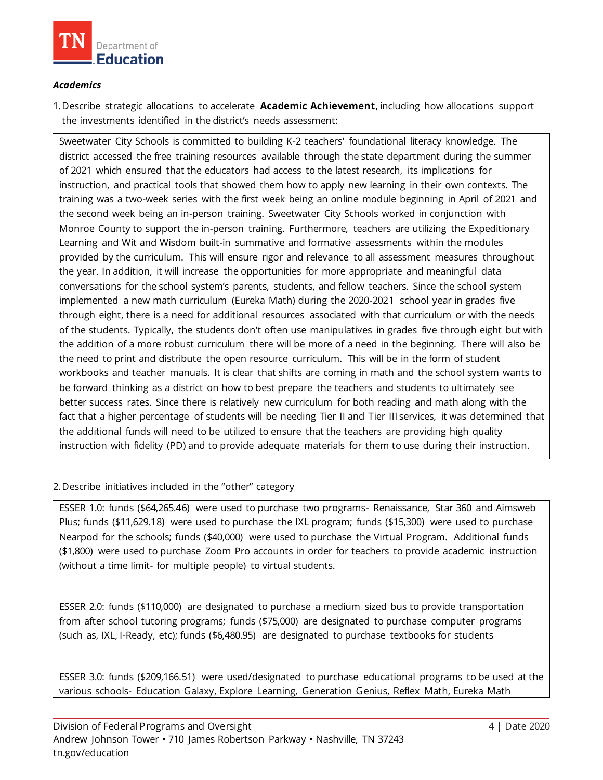

### *Academics*

1.Describe strategic allocations to accelerate **Academic Achievement**, including how allocations support the investments identified in the district's needs assessment:

Sweetwater City Schools is committed to building K-2 teachers' foundational literacy knowledge. The district accessed the free training resources available through the state department during the summer of 2021 which ensured that the educators had access to the latest research, its implications for instruction, and practical tools that showed them how to apply new learning in their own contexts. The training was a two-week series with the first week being an online module beginning in April of 2021 and the second week being an in-person training. Sweetwater City Schools worked in conjunction with Monroe County to support the in-person training. Furthermore, teachers are utilizing the Expeditionary Learning and Wit and Wisdom built-in summative and formative assessments within the modules provided by the curriculum. This will ensure rigor and relevance to all assessment measures throughout the year. In addition, it will increase the opportunities for more appropriate and meaningful data conversations for the school system's parents, students, and fellow teachers. Since the school system implemented a new math curriculum (Eureka Math) during the 2020-2021 school year in grades five through eight, there is a need for additional resources associated with that curriculum or with the needs of the students. Typically, the students don't often use manipulatives in grades five through eight but with the addition of a more robust curriculum there will be more of a need in the beginning. There will also be the need to print and distribute the open resource curriculum. This will be in the form of student workbooks and teacher manuals. It is clear that shifts are coming in math and the school system wants to be forward thinking as a district on how to best prepare the teachers and students to ultimately see better success rates. Since there is relatively new curriculum for both reading and math along with the fact that a higher percentage of students will be needing Tier II and Tier III services, it was determined that the additional funds will need to be utilized to ensure that the teachers are providing high quality instruction with fidelity (PD) and to provide adequate materials for them to use during their instruction.

### 2.Describe initiatives included in the "other" category

ESSER 1.0: funds (\$64,265.46) were used to purchase two programs- Renaissance, Star 360 and Aimsweb Plus; funds (\$11,629.18) were used to purchase the IXL program; funds (\$15,300) were used to purchase Nearpod for the schools; funds (\$40,000) were used to purchase the Virtual Program. Additional funds (\$1,800) were used to purchase Zoom Pro accounts in order for teachers to provide academic instruction (without a time limit- for multiple people) to virtual students.

ESSER 2.0: funds (\$110,000) are designated to purchase a medium sized bus to provide transportation from after school tutoring programs; funds (\$75,000) are designated to purchase computer programs (such as, IXL, I-Ready, etc); funds (\$6,480.95) are designated to purchase textbooks for students

ESSER 3.0: funds (\$209,166.51) were used/designated to purchase educational programs to be used at the various schools- Education Galaxy, Explore Learning, Generation Genius, Reflex Math, Eureka Math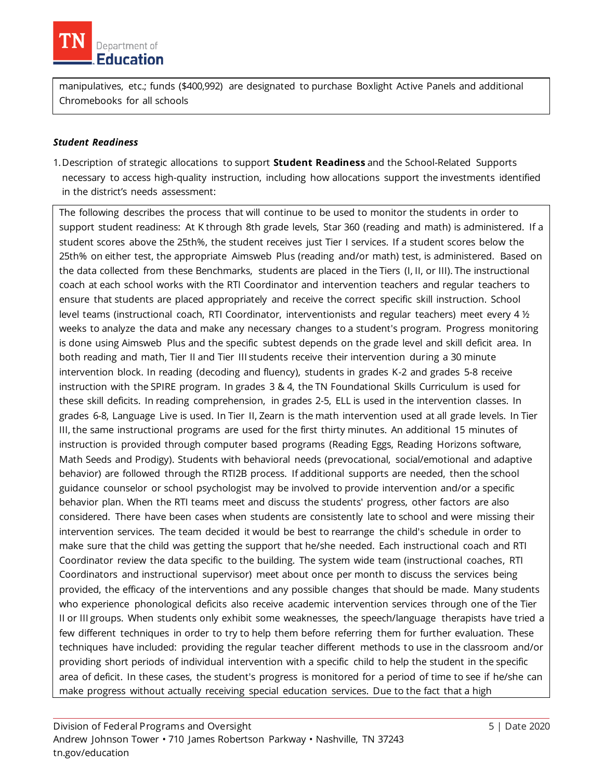

manipulatives, etc.; funds (\$400,992) are designated to purchase Boxlight Active Panels and additional Chromebooks for all schools

#### *Student Readiness*

1.Description of strategic allocations to support **Student Readiness** and the School-Related Supports necessary to access high-quality instruction, including how allocations support the investments identified in the district's needs assessment:

The following describes the process that will continue to be used to monitor the students in order to support student readiness: At K through 8th grade levels, Star 360 (reading and math) is administered. If a student scores above the 25th%, the student receives just Tier I services. If a student scores below the 25th% on either test, the appropriate Aimsweb Plus (reading and/or math) test, is administered. Based on the data collected from these Benchmarks, students are placed in the Tiers (I, II, or III). The instructional coach at each school works with the RTI Coordinator and intervention teachers and regular teachers to ensure that students are placed appropriately and receive the correct specific skill instruction. School level teams (instructional coach, RTI Coordinator, interventionists and regular teachers) meet every 4  $\frac{1}{2}$ weeks to analyze the data and make any necessary changes to a student's program. Progress monitoring is done using Aimsweb Plus and the specific subtest depends on the grade level and skill deficit area. In both reading and math, Tier II and Tier III students receive their intervention during a 30 minute intervention block. In reading (decoding and fluency), students in grades K-2 and grades 5-8 receive instruction with the SPIRE program. In grades 3 & 4, the TN Foundational Skills Curriculum is used for these skill deficits. In reading comprehension, in grades 2-5, ELL is used in the intervention classes. In grades 6-8, Language Live is used. In Tier II, Zearn is the math intervention used at all grade levels. In Tier III, the same instructional programs are used for the first thirty minutes. An additional 15 minutes of instruction is provided through computer based programs (Reading Eggs, Reading Horizons software, Math Seeds and Prodigy). Students with behavioral needs (prevocational, social/emotional and adaptive behavior) are followed through the RTI2B process. If additional supports are needed, then the school guidance counselor or school psychologist may be involved to provide intervention and/or a specific behavior plan. When the RTI teams meet and discuss the students' progress, other factors are also considered. There have been cases when students are consistently late to school and were missing their intervention services. The team decided it would be best to rearrange the child's schedule in order to make sure that the child was getting the support that he/she needed. Each instructional coach and RTI Coordinator review the data specific to the building. The system wide team (instructional coaches, RTI Coordinators and instructional supervisor) meet about once per month to discuss the services being provided, the efficacy of the interventions and any possible changes that should be made. Many students who experience phonological deficits also receive academic intervention services through one of the Tier II or III groups. When students only exhibit some weaknesses, the speech/language therapists have tried a few different techniques in order to try to help them before referring them for further evaluation. These techniques have included: providing the regular teacher different methods to use in the classroom and/or providing short periods of individual intervention with a specific child to help the student in the specific area of deficit. In these cases, the student's progress is monitored for a period of time to see if he/she can make progress without actually receiving special education services. Due to the fact that a high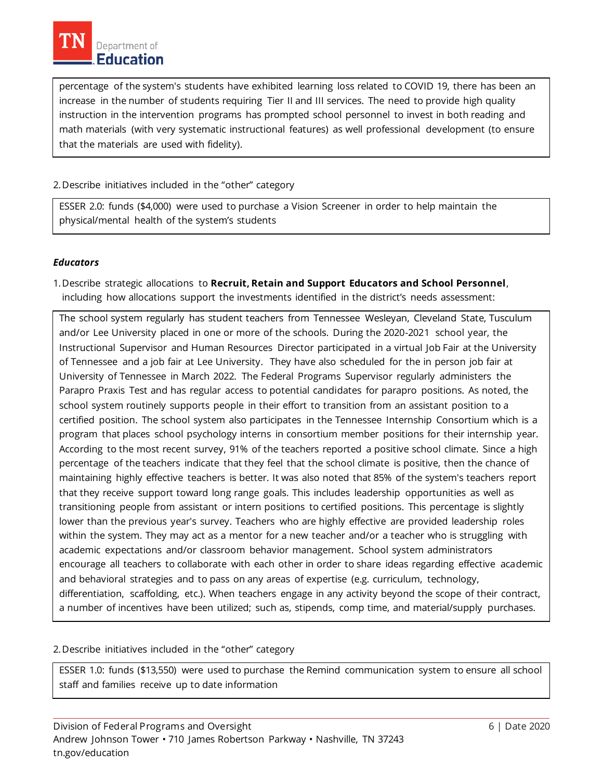percentage of the system's students have exhibited learning loss related to COVID 19, there has been an increase in the number of students requiring Tier II and III services. The need to provide high quality instruction in the intervention programs has prompted school personnel to invest in both reading and math materials (with very systematic instructional features) as well professional development (to ensure that the materials are used with fidelity).

## 2.Describe initiatives included in the "other" category

ESSER 2.0: funds (\$4,000) were used to purchase a Vision Screener in order to help maintain the physical/mental health of the system's students

## *Educators*

1.Describe strategic allocations to **Recruit, Retain and Support Educators and School Personnel**, including how allocations support the investments identified in the district's needs assessment:

The school system regularly has student teachers from Tennessee Wesleyan, Cleveland State, Tusculum and/or Lee University placed in one or more of the schools. During the 2020-2021 school year, the Instructional Supervisor and Human Resources Director participated in a virtual Job Fair at the University of Tennessee and a job fair at Lee University. They have also scheduled for the in person job fair at University of Tennessee in March 2022. The Federal Programs Supervisor regularly administers the Parapro Praxis Test and has regular access to potential candidates for parapro positions. As noted, the school system routinely supports people in their effort to transition from an assistant position to a certified position. The school system also participates in the Tennessee Internship Consortium which is a program that places school psychology interns in consortium member positions for their internship year. According to the most recent survey, 91% of the teachers reported a positive school climate. Since a high percentage of the teachers indicate that they feel that the school climate is positive, then the chance of maintaining highly effective teachers is better. It was also noted that 85% of the system's teachers report that they receive support toward long range goals. This includes leadership opportunities as well as transitioning people from assistant or intern positions to certified positions. This percentage is slightly lower than the previous year's survey. Teachers who are highly effective are provided leadership roles within the system. They may act as a mentor for a new teacher and/or a teacher who is struggling with academic expectations and/or classroom behavior management. School system administrators encourage all teachers to collaborate with each other in order to share ideas regarding effective academic and behavioral strategies and to pass on any areas of expertise (e.g. curriculum, technology, differentiation, scaffolding, etc.). When teachers engage in any activity beyond the scope of their contract, a number of incentives have been utilized; such as, stipends, comp time, and material/supply purchases.

## 2.Describe initiatives included in the "other" category

ESSER 1.0: funds (\$13,550) were used to purchase the Remind communication system to ensure all school staff and families receive up to date information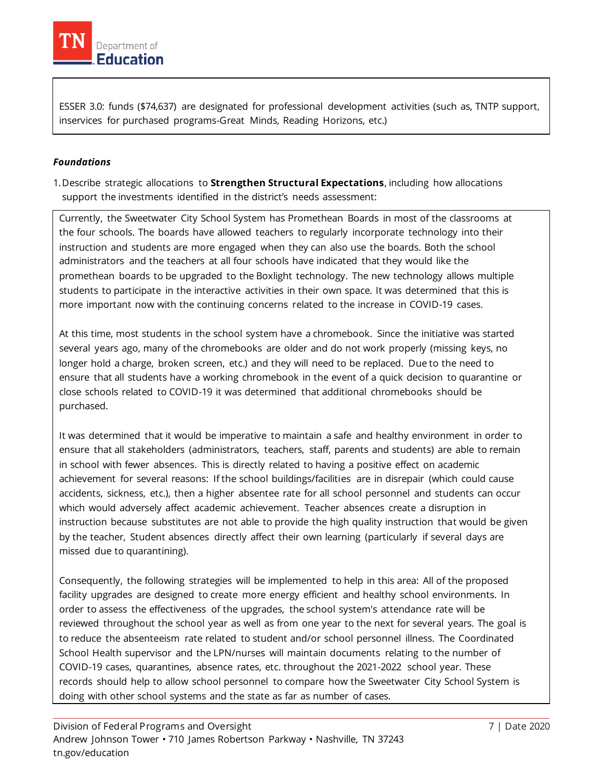

ESSER 3.0: funds (\$74,637) are designated for professional development activities (such as, TNTP support, inservices for purchased programs-Great Minds, Reading Horizons, etc.)

## *Foundations*

1.Describe strategic allocations to **Strengthen Structural Expectations**, including how allocations support the investments identified in the district's needs assessment:

Currently, the Sweetwater City School System has Promethean Boards in most of the classrooms at the four schools. The boards have allowed teachers to regularly incorporate technology into their instruction and students are more engaged when they can also use the boards. Both the school administrators and the teachers at all four schools have indicated that they would like the promethean boards to be upgraded to the Boxlight technology. The new technology allows multiple students to participate in the interactive activities in their own space. It was determined that this is more important now with the continuing concerns related to the increase in COVID-19 cases.

At this time, most students in the school system have a chromebook. Since the initiative was started several years ago, many of the chromebooks are older and do not work properly (missing keys, no longer hold a charge, broken screen, etc.) and they will need to be replaced. Due to the need to ensure that all students have a working chromebook in the event of a quick decision to quarantine or close schools related to COVID-19 it was determined that additional chromebooks should be purchased.

It was determined that it would be imperative to maintain a safe and healthy environment in order to ensure that all stakeholders (administrators, teachers, staff, parents and students) are able to remain in school with fewer absences. This is directly related to having a positive effect on academic achievement for several reasons: If the school buildings/facilities are in disrepair (which could cause accidents, sickness, etc.), then a higher absentee rate for all school personnel and students can occur which would adversely affect academic achievement. Teacher absences create a disruption in instruction because substitutes are not able to provide the high quality instruction that would be given by the teacher, Student absences directly affect their own learning (particularly if several days are missed due to quarantining).

Consequently, the following strategies will be implemented to help in this area: All of the proposed facility upgrades are designed to create more energy efficient and healthy school environments. In order to assess the effectiveness of the upgrades, the school system's attendance rate will be reviewed throughout the school year as well as from one year to the next for several years. The goal is to reduce the absenteeism rate related to student and/or school personnel illness. The Coordinated School Health supervisor and the LPN/nurses will maintain documents relating to the number of COVID-19 cases, quarantines, absence rates, etc. throughout the 2021-2022 school year. These records should help to allow school personnel to compare how the Sweetwater City School System is doing with other school systems and the state as far as number of cases.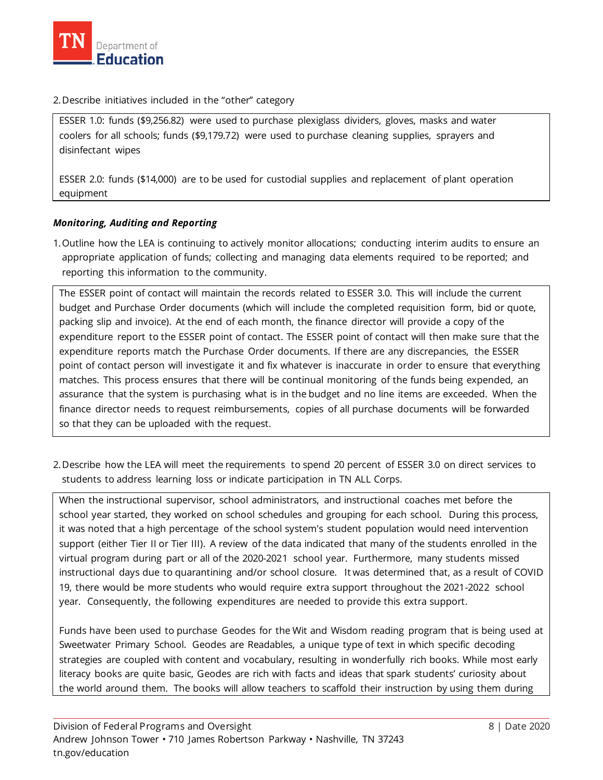

#### 2.Describe initiatives included in the "other" category

ESSER 1.0: funds (\$9,256.82) were used to purchase plexiglass dividers, gloves, masks and water coolers for all schools; funds (\$9,179.72) were used to purchase cleaning supplies, sprayers and disinfectant wipes

ESSER 2.0: funds (\$14,000) are to be used for custodial supplies and replacement of plant operation equipment

## *Monitoring, Auditing and Reporting*

1.Outline how the LEA is continuing to actively monitor allocations; conducting interim audits to ensure an appropriate application of funds; collecting and managing data elements required to be reported; and reporting this information to the community.

The ESSER point of contact will maintain the records related to ESSER 3.0. This will include the current budget and Purchase Order documents (which will include the completed requisition form, bid or quote, packing slip and invoice). At the end of each month, the finance director will provide a copy of the expenditure report to the ESSER point of contact. The ESSER point of contact will then make sure that the expenditure reports match the Purchase Order documents. If there are any discrepancies, the ESSER point of contact person will investigate it and fix whatever is inaccurate in order to ensure that everything matches. This process ensures that there will be continual monitoring of the funds being expended, an assurance that the system is purchasing what is in the budget and no line items are exceeded. When the finance director needs to request reimbursements, copies of all purchase documents will be forwarded so that they can be uploaded with the request.

2.Describe how the LEA will meet the requirements to spend 20 percent of ESSER 3.0 on direct services to students to address learning loss or indicate participation in TN ALL Corps.

When the instructional supervisor, school administrators, and instructional coaches met before the school year started, they worked on school schedules and grouping for each school. During this process, it was noted that a high percentage of the school system's student population would need intervention support (either Tier II or Tier III). A review of the data indicated that many of the students enrolled in the virtual program during part or all of the 2020-2021 school year. Furthermore, many students missed instructional days due to quarantining and/or school closure. It was determined that, as a result of COVID 19, there would be more students who would require extra support throughout the 2021-2022 school year. Consequently, the following expenditures are needed to provide this extra support.

Funds have been used to purchase Geodes for the Wit and Wisdom reading program that is being used at Sweetwater Primary School. Geodes are Readables, a unique type of text in which specific decoding strategies are coupled with content and vocabulary, resulting in wonderfully rich books. While most early literacy books are quite basic, Geodes are rich with facts and ideas that spark students' curiosity about the world around them. The books will allow teachers to scaffold their instruction by using them during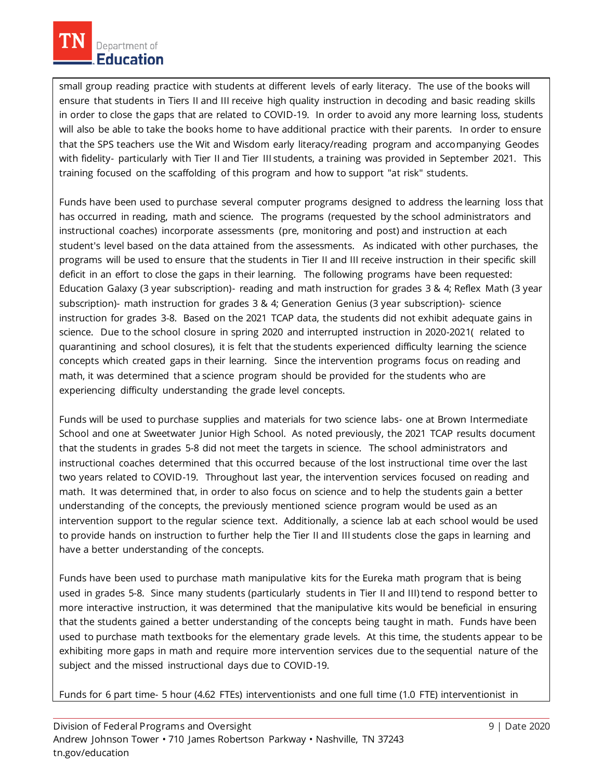small group reading practice with students at different levels of early literacy. The use of the books will ensure that students in Tiers II and III receive high quality instruction in decoding and basic reading skills in order to close the gaps that are related to COVID-19. In order to avoid any more learning loss, students will also be able to take the books home to have additional practice with their parents. In order to ensure that the SPS teachers use the Wit and Wisdom early literacy/reading program and accompanying Geodes with fidelity- particularly with Tier II and Tier III students, a training was provided in September 2021. This training focused on the scaffolding of this program and how to support "at risk" students.

Funds have been used to purchase several computer programs designed to address the learning loss that has occurred in reading, math and science. The programs (requested by the school administrators and instructional coaches) incorporate assessments (pre, monitoring and post) and instruction at each student's level based on the data attained from the assessments. As indicated with other purchases, the programs will be used to ensure that the students in Tier II and III receive instruction in their specific skill deficit in an effort to close the gaps in their learning. The following programs have been requested: Education Galaxy (3 year subscription)- reading and math instruction for grades 3 & 4; Reflex Math (3 year subscription)- math instruction for grades 3 & 4; Generation Genius (3 year subscription)- science instruction for grades 3-8. Based on the 2021 TCAP data, the students did not exhibit adequate gains in science. Due to the school closure in spring 2020 and interrupted instruction in 2020-2021( related to quarantining and school closures), it is felt that the students experienced difficulty learning the science concepts which created gaps in their learning. Since the intervention programs focus on reading and math, it was determined that a science program should be provided for the students who are experiencing difficulty understanding the grade level concepts.

Funds will be used to purchase supplies and materials for two science labs- one at Brown Intermediate School and one at Sweetwater Junior High School. As noted previously, the 2021 TCAP results document that the students in grades 5-8 did not meet the targets in science. The school administrators and instructional coaches determined that this occurred because of the lost instructional time over the last two years related to COVID-19. Throughout last year, the intervention services focused on reading and math. It was determined that, in order to also focus on science and to help the students gain a better understanding of the concepts, the previously mentioned science program would be used as an intervention support to the regular science text. Additionally, a science lab at each school would be used to provide hands on instruction to further help the Tier II and III students close the gaps in learning and have a better understanding of the concepts.

Funds have been used to purchase math manipulative kits for the Eureka math program that is being used in grades 5-8. Since many students (particularly students in Tier II and III) tend to respond better to more interactive instruction, it was determined that the manipulative kits would be beneficial in ensuring that the students gained a better understanding of the concepts being taught in math. Funds have been used to purchase math textbooks for the elementary grade levels. At this time, the students appear to be exhibiting more gaps in math and require more intervention services due to the sequential nature of the subject and the missed instructional days due to COVID-19.

Funds for 6 part time- 5 hour (4.62 FTEs) interventionists and one full time (1.0 FTE) interventionist in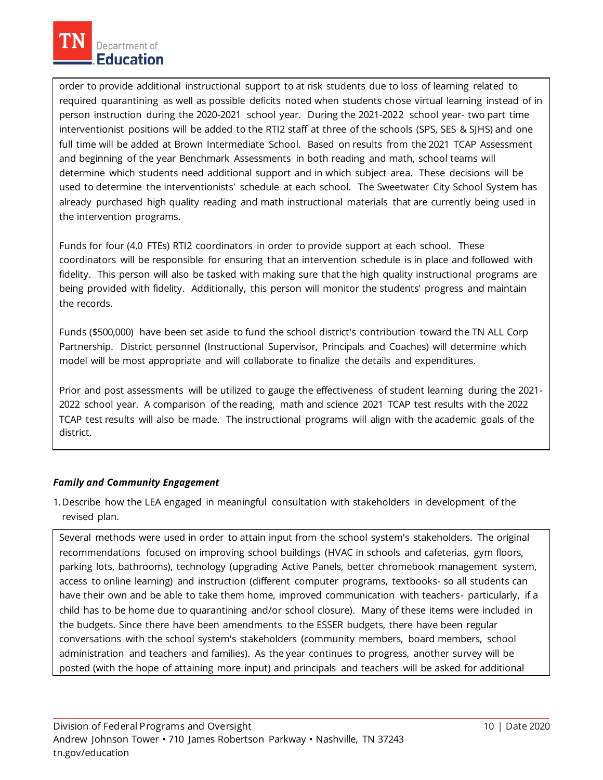order to provide additional instructional support to at risk students due to loss of learning related to required quarantining as well as possible deficits noted when students chose virtual learning instead of in person instruction during the 2020-2021 school year. During the 2021-2022 school year- two part time interventionist positions will be added to the RTI2 staff at three of the schools (SPS, SES & SJHS) and one full time will be added at Brown Intermediate School. Based on results from the 2021 TCAP Assessment and beginning of the year Benchmark Assessments in both reading and math, school teams will determine which students need additional support and in which subject area. These decisions will be used to determine the interventionists' schedule at each school. The Sweetwater City School System has already purchased high quality reading and math instructional materials that are currently being used in the intervention programs.

Funds for four (4.0 FTEs) RTI2 coordinators in order to provide support at each school. These coordinators will be responsible for ensuring that an intervention schedule is in place and followed with fidelity. This person will also be tasked with making sure that the high quality instructional programs are being provided with fidelity. Additionally, this person will monitor the students' progress and maintain the records.

Funds (\$500,000) have been set aside to fund the school district's contribution toward the TN ALL Corp Partnership. District personnel (Instructional Supervisor, Principals and Coaches) will determine which model will be most appropriate and will collaborate to finalize the details and expenditures.

Prior and post assessments will be utilized to gauge the effectiveness of student learning during the 2021- 2022 school year. A comparison of the reading, math and science 2021 TCAP test results with the 2022 TCAP test results will also be made. The instructional programs will align with the academic goals of the district.

## *Family and Community Engagement*

1.Describe how the LEA engaged in meaningful consultation with stakeholders in development of the revised plan.

Several methods were used in order to attain input from the school system's stakeholders. The original recommendations focused on improving school buildings (HVAC in schools and cafeterias, gym floors, parking lots, bathrooms), technology (upgrading Active Panels, better chromebook management system, access to online learning) and instruction (different computer programs, textbooks- so all students can have their own and be able to take them home, improved communication with teachers- particularly, if a child has to be home due to quarantining and/or school closure). Many of these items were included in the budgets. Since there have been amendments to the ESSER budgets, there have been regular conversations with the school system's stakeholders (community members, board members, school administration and teachers and families). As the year continues to progress, another survey will be posted (with the hope of attaining more input) and principals and teachers will be asked for additional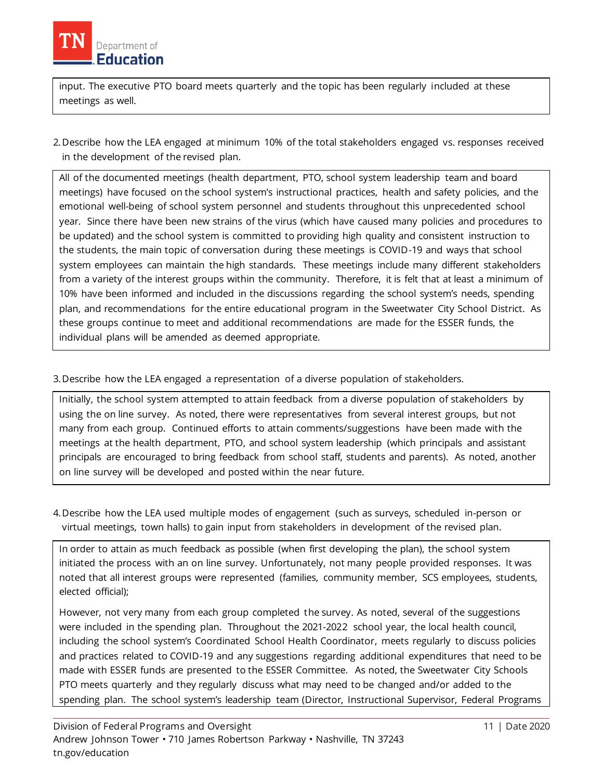

input. The executive PTO board meets quarterly and the topic has been regularly included at these meetings as well.

2.Describe how the LEA engaged at minimum 10% of the total stakeholders engaged vs. responses received in the development of the revised plan.

All of the documented meetings (health department, PTO, school system leadership team and board meetings) have focused on the school system's instructional practices, health and safety policies, and the emotional well-being of school system personnel and students throughout this unprecedented school year. Since there have been new strains of the virus (which have caused many policies and procedures to be updated) and the school system is committed to providing high quality and consistent instruction to the students, the main topic of conversation during these meetings is COVID-19 and ways that school system employees can maintain the high standards. These meetings include many different stakeholders from a variety of the interest groups within the community. Therefore, it is felt that at least a minimum of 10% have been informed and included in the discussions regarding the school system's needs, spending plan, and recommendations for the entire educational program in the Sweetwater City School District. As these groups continue to meet and additional recommendations are made for the ESSER funds, the individual plans will be amended as deemed appropriate.

3.Describe how the LEA engaged a representation of a diverse population of stakeholders.

Initially, the school system attempted to attain feedback from a diverse population of stakeholders by using the on line survey. As noted, there were representatives from several interest groups, but not many from each group. Continued efforts to attain comments/suggestions have been made with the meetings at the health department, PTO, and school system leadership (which principals and assistant principals are encouraged to bring feedback from school staff, students and parents). As noted, another on line survey will be developed and posted within the near future.

4.Describe how the LEA used multiple modes of engagement (such as surveys, scheduled in-person or virtual meetings, town halls) to gain input from stakeholders in development of the revised plan.

In order to attain as much feedback as possible (when first developing the plan), the school system initiated the process with an on line survey. Unfortunately, not many people provided responses. It was noted that all interest groups were represented (families, community member, SCS employees, students, elected official);

However, not very many from each group completed the survey. As noted, several of the suggestions were included in the spending plan. Throughout the 2021-2022 school year, the local health council, including the school system's Coordinated School Health Coordinator, meets regularly to discuss policies and practices related to COVID-19 and any suggestions regarding additional expenditures that need to be made with ESSER funds are presented to the ESSER Committee. As noted, the Sweetwater City Schools PTO meets quarterly and they regularly discuss what may need to be changed and/or added to the spending plan. The school system's leadership team (Director, Instructional Supervisor, Federal Programs